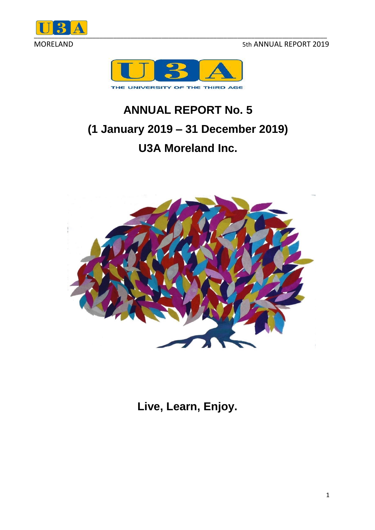MORELAND 5th ANNUAL REPORT 2019





# **ANNUAL REPORT No. 5 (1 January 2019 – 31 December 2019) U3A Moreland Inc.**



**Live, Learn, Enjoy.**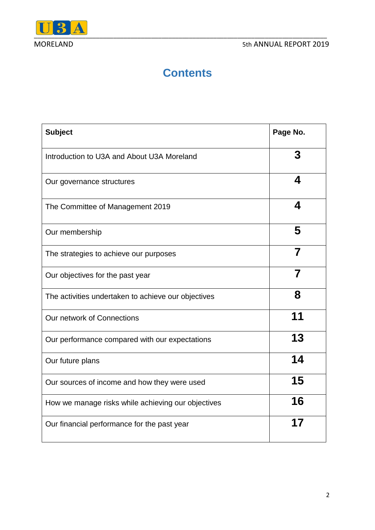

### **Contents**

| <b>Subject</b>                                      | Page No. |
|-----------------------------------------------------|----------|
| Introduction to U3A and About U3A Moreland          | 3        |
| Our governance structures                           | 4        |
| The Committee of Management 2019                    | 4        |
| Our membership                                      | 5        |
| The strategies to achieve our purposes              | 7        |
| Our objectives for the past year                    |          |
| The activities undertaken to achieve our objectives | 8        |
| Our network of Connections                          | 11       |
| Our performance compared with our expectations      | 13       |
| Our future plans                                    | 14       |
| Our sources of income and how they were used        | 15       |
| How we manage risks while achieving our objectives  | 16       |
| Our financial performance for the past year         | 17       |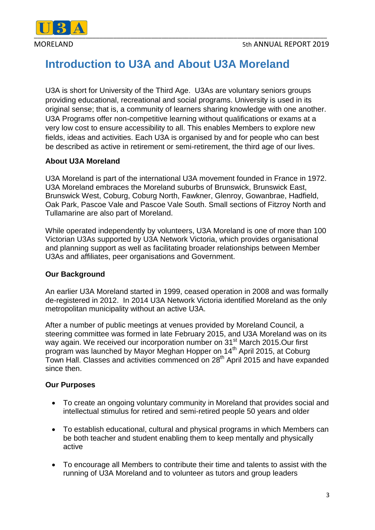

### **Introduction to U3A and About U3A Moreland**

U3A is short for University of the Third Age. U3As are voluntary seniors groups providing educational, recreational and social programs. University is used in its original sense; that is, a community of learners sharing knowledge with one another. U3A Programs offer non-competitive learning without qualifications or exams at a very low cost to ensure accessibility to all. This enables Members to explore new fields, ideas and activities. Each U3A is organised by and for people who can best be described as active in retirement or semi-retirement, the third age of our lives.

#### **About U3A Moreland**

U3A Moreland is part of the international U3A movement founded in France in 1972. U3A Moreland embraces the Moreland suburbs of Brunswick, Brunswick East, Brunswick West, Coburg, Coburg North, Fawkner, Glenroy, Gowanbrae, Hadfield, Oak Park, Pascoe Vale and Pascoe Vale South. Small sections of Fitzroy North and Tullamarine are also part of Moreland.

While operated independently by volunteers, U3A Moreland is one of more than 100 Victorian U3As supported by U3A Network Victoria, which provides organisational and planning support as well as facilitating broader relationships between Member U3As and affiliates, peer organisations and Government.

#### **Our Background**

An earlier U3A Moreland started in 1999, ceased operation in 2008 and was formally de-registered in 2012. In 2014 U3A Network Victoria identified Moreland as the only metropolitan municipality without an active U3A.

After a number of public meetings at venues provided by Moreland Council*,* a steering committee was formed in late February 2015, and U3A Moreland was on its way again. We received our incorporation number on 31<sup>st</sup> March 2015.Our first program was launched by Mayor Meghan Hopper on 14th April 2015, at Coburg Town Hall. Classes and activities commenced on 28th April 2015 and have expanded since then.

#### **Our Purposes**

- To create an ongoing voluntary community in Moreland that provides social and intellectual stimulus for retired and semi-retired people 50 years and older
- To establish educational, cultural and physical programs in which Members can be both teacher and student enabling them to keep mentally and physically active
- To encourage all Members to contribute their time and talents to assist with the running of U3A Moreland and to volunteer as tutors and group leaders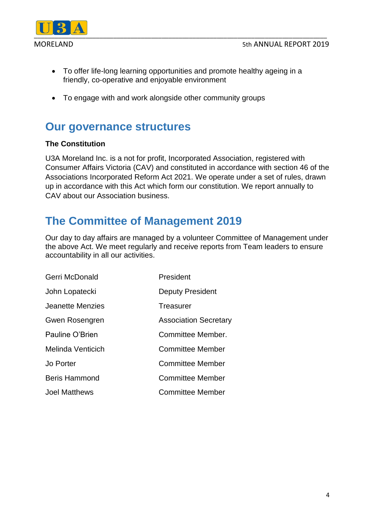

- To offer life-long learning opportunities and promote healthy ageing in a friendly, co-operative and enjoyable environment
- To engage with and work alongside other community groups

### **Our governance structures**

#### **The Constitution**

U3A Moreland Inc. is a not for profit, Incorporated Association, registered with Consumer Affairs Victoria (CAV) and constituted in accordance with section 46 of the Associations Incorporated Reform Act 2021. We operate under a set of rules, drawn up in accordance with this Act which form our constitution. We report annually to CAV about our Association business.

### **The Committee of Management 2019**

Our day to day affairs are managed by a volunteer Committee of Management under the above Act. We meet regularly and receive reports from Team leaders to ensure accountability in all our activities.

| Gerri McDonald       | President                    |
|----------------------|------------------------------|
| John Lopatecki       | <b>Deputy President</b>      |
| Jeanette Menzies     | Treasurer                    |
| Gwen Rosengren       | <b>Association Secretary</b> |
| Pauline O'Brien      | Committee Member.            |
| Melinda Venticich    | Committee Member             |
| Jo Porter            | <b>Committee Member</b>      |
| <b>Beris Hammond</b> | <b>Committee Member</b>      |
| <b>Joel Matthews</b> | <b>Committee Member</b>      |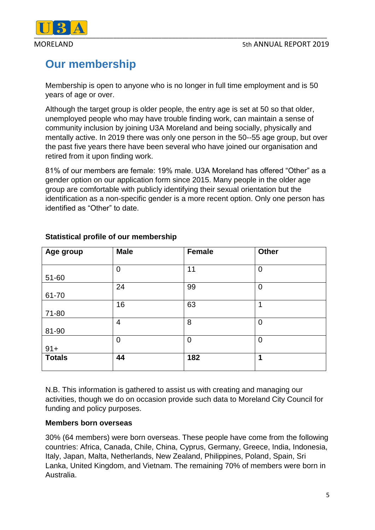

## **Our membership**

Membership is open to anyone who is no longer in full time employment and is 50 years of age or over.

Although the target group is older people, the entry age is set at 50 so that older, unemployed people who may have trouble finding work, can maintain a sense of community inclusion by joining U3A Moreland and being socially, physically and mentally active. In 2019 there was only one person in the 50--55 age group, but over the past five years there have been several who have joined our organisation and retired from it upon finding work.

81% of our members are female: 19% male. U3A Moreland has offered "Other" as a gender option on our application form since 2015. Many people in the older age group are comfortable with publicly identifying their sexual orientation but the identification as a non-specific gender is a more recent option. Only one person has identified as "Other" to date.

| Age group     | <b>Male</b>    | <b>Female</b>  | <b>Other</b>   |
|---------------|----------------|----------------|----------------|
|               |                |                |                |
|               | $\overline{0}$ | 11             | $\overline{0}$ |
| 51-60         |                |                |                |
|               | 24             | 99             | $\mathbf 0$    |
| 61-70         |                |                |                |
|               | 16             | 63             | 1              |
| 71-80         |                |                |                |
|               | $\overline{4}$ | 8              | $\overline{0}$ |
| 81-90         |                |                |                |
|               | $\overline{0}$ | $\overline{0}$ | $\overline{0}$ |
| $91 +$        |                |                |                |
| <b>Totals</b> | 44             | 182            | 1              |
|               |                |                |                |

#### **Statistical profile of our membership**

N.B. This information is gathered to assist us with creating and managing our activities, though we do on occasion provide such data to Moreland City Council for funding and policy purposes.

#### **Members born overseas**

30% (64 members) were born overseas. These people have come from the following countries: Africa, Canada, Chile, China, Cyprus, Germany, Greece, India, Indonesia, Italy, Japan, Malta, Netherlands, New Zealand, Philippines, Poland, Spain, Sri Lanka, United Kingdom, and Vietnam. The remaining 70% of members were born in Australia.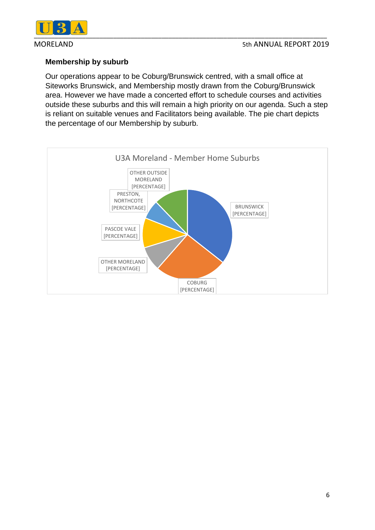

#### **Membership by suburb**

Our operations appear to be Coburg/Brunswick centred, with a small office at Siteworks Brunswick, and Membership mostly drawn from the Coburg/Brunswick area. However we have made a concerted effort to schedule courses and activities outside these suburbs and this will remain a high priority on our agenda. Such a step is reliant on suitable venues and Facilitators being available. The pie chart depicts the percentage of our Membership by suburb.

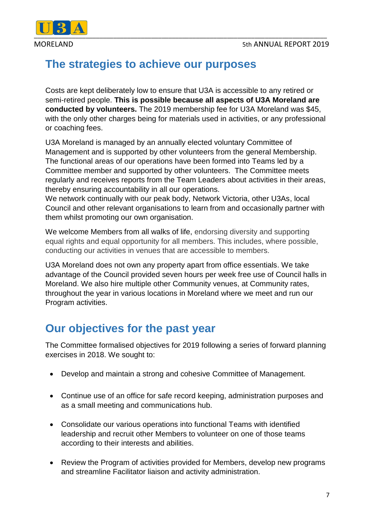

### **The strategies to achieve our purposes**

Costs are kept deliberately low to ensure that U3A is accessible to any retired or semi-retired people. **This is possible because all aspects of U3A Moreland are conducted by volunteers.** The 2019 membership fee for U3A Moreland was \$45, with the only other charges being for materials used in activities, or any professional or coaching fees.

U3A Moreland is managed by an annually elected voluntary Committee of Management and is supported by other volunteers from the general Membership. The functional areas of our operations have been formed into Teams led by a Committee member and supported by other volunteers. The Committee meets regularly and receives reports from the Team Leaders about activities in their areas, thereby ensuring accountability in all our operations.

We network continually with our peak body, Network Victoria, other U3As, local Council and other relevant organisations to learn from and occasionally partner with them whilst promoting our own organisation.

We welcome Members from all walks of life, endorsing diversity and supporting equal rights and equal opportunity for all members. This includes, where possible, conducting our activities in venues that are accessible to members.

U3A Moreland does not own any property apart from office essentials. We take advantage of the Council provided seven hours per week free use of Council halls in Moreland. We also hire multiple other Community venues, at Community rates, throughout the year in various locations in Moreland where we meet and run our Program activities.

### **Our objectives for the past year**

The Committee formalised objectives for 2019 following a series of forward planning exercises in 2018. We sought to:

- Develop and maintain a strong and cohesive Committee of Management.
- Continue use of an office for safe record keeping, administration purposes and as a small meeting and communications hub.
- Consolidate our various operations into functional Teams with identified leadership and recruit other Members to volunteer on one of those teams according to their interests and abilities.
- Review the Program of activities provided for Members, develop new programs and streamline Facilitator liaison and activity administration.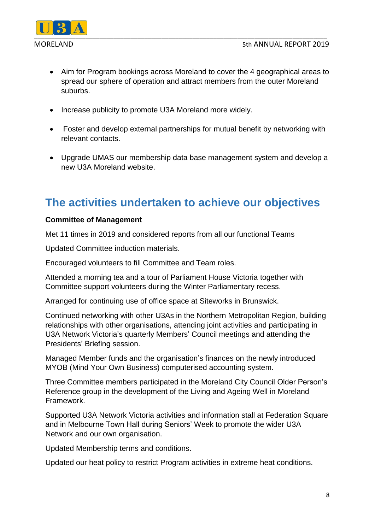

- Aim for Program bookings across Moreland to cover the 4 geographical areas to spread our sphere of operation and attract members from the outer Moreland suburbs.
- Increase publicity to promote U3A Moreland more widely.
- Foster and develop external partnerships for mutual benefit by networking with relevant contacts.
- Upgrade UMAS our membership data base management system and develop a new U3A Moreland website.

### **The activities undertaken to achieve our objectives**

#### **Committee of Management**

Met 11 times in 2019 and considered reports from all our functional Teams

Updated Committee induction materials.

Encouraged volunteers to fill Committee and Team roles.

Attended a morning tea and a tour of Parliament House Victoria together with Committee support volunteers during the Winter Parliamentary recess.

Arranged for continuing use of office space at Siteworks in Brunswick.

Continued networking with other U3As in the Northern Metropolitan Region, building relationships with other organisations, attending joint activities and participating in U3A Network Victoria's quarterly Members' Council meetings and attending the Presidents' Briefing session.

Managed Member funds and the organisation's finances on the newly introduced MYOB (Mind Your Own Business) computerised accounting system.

Three Committee members participated in the Moreland City Council Older Person's Reference group in the development of the Living and Ageing Well in Moreland Framework.

Supported U3A Network Victoria activities and information stall at Federation Square and in Melbourne Town Hall during Seniors' Week to promote the wider U3A Network and our own organisation.

Updated Membership terms and conditions.

Updated our heat policy to restrict Program activities in extreme heat conditions.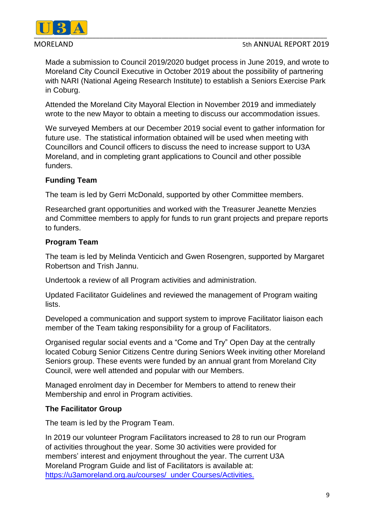

#### MORELAND 5th ANNUAL REPORT 2019

Made a submission to Council 2019/2020 budget process in June 2019, and wrote to Moreland City Council Executive in October 2019 about the possibility of partnering with NARI (National Ageing Research Institute) to establish a Seniors Exercise Park in Coburg.

Attended the Moreland City Mayoral Election in November 2019 and immediately wrote to the new Mayor to obtain a meeting to discuss our accommodation issues.

We surveyed Members at our December 2019 social event to gather information for future use. The statistical information obtained will be used when meeting with Councillors and Council officers to discuss the need to increase support to U3A Moreland, and in completing grant applications to Council and other possible funders.

#### **Funding Team**

The team is led by Gerri McDonald, supported by other Committee members.

Researched grant opportunities and worked with the Treasurer Jeanette Menzies and Committee members to apply for funds to run grant projects and prepare reports to funders.

#### **Program Team**

The team is led by Melinda Venticich and Gwen Rosengren, supported by Margaret Robertson and Trish Jannu.

Undertook a review of all Program activities and administration.

Updated Facilitator Guidelines and reviewed the management of Program waiting lists.

Developed a communication and support system to improve Facilitator liaison each member of the Team taking responsibility for a group of Facilitators.

Organised regular social events and a "Come and Try" Open Day at the centrally located Coburg Senior Citizens Centre during Seniors Week inviting other Moreland Seniors group. These events were funded by an annual grant from Moreland City Council, were well attended and popular with our Members.

Managed enrolment day in December for Members to attend to renew their Membership and enrol in Program activities.

#### **The Facilitator Group**

The team is led by the Program Team.

In 2019 our volunteer Program Facilitators increased to 28 to run our Program of activities throughout the year. Some 30 activities were provided for members' interest and enjoyment throughout the year. The current U3A Moreland Program Guide and list of Facilitators is available at: <https://u3amoreland.org.au/courses/>under Courses/Activities.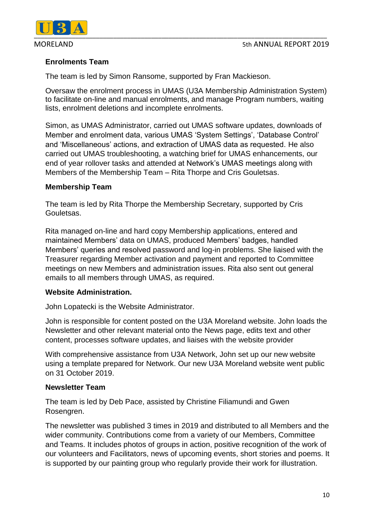

#### **Enrolments Team**

The team is led by Simon Ransome, supported by Fran Mackieson.

Oversaw the enrolment process in UMAS (U3A Membership Administration System) to facilitate on-line and manual enrolments, and manage Program numbers, waiting lists, enrolment deletions and incomplete enrolments.

Simon, as UMAS Administrator, carried out UMAS software updates, downloads of Member and enrolment data, various UMAS 'System Settings', 'Database Control' and 'Miscellaneous' actions, and extraction of UMAS data as requested. He also carried out UMAS troubleshooting, a watching brief for UMAS enhancements, our end of year rollover tasks and attended at Network's UMAS meetings along with Members of the Membership Team – Rita Thorpe and Cris Gouletsas.

#### **Membership Team**

The team is led by Rita Thorpe the Membership Secretary, supported by Cris Gouletsas.

Rita managed on-line and hard copy Membership applications, entered and maintained Members' data on UMAS, produced Members' badges, handled Members' queries and resolved password and log-in problems. She liaised with the Treasurer regarding Member activation and payment and reported to Committee meetings on new Members and administration issues. Rita also sent out general emails to all members through UMAS, as required.

#### **Website Administration.**

John Lopatecki is the Website Administrator.

John is responsible for content posted on the U3A Moreland website. John loads the Newsletter and other relevant material onto the News page, edits text and other content, processes software updates, and liaises with the website provider

With comprehensive assistance from U3A Network, John set up our new website using a template prepared for Network. Our new U3A Moreland website went public on 31 October 2019.

#### **Newsletter Team**

The team is led by Deb Pace, assisted by Christine Filiamundi and Gwen Rosengren.

The newsletter was published 3 times in 2019 and distributed to all Members and the wider community. Contributions come from a variety of our Members, Committee and Teams. It includes photos of groups in action, positive recognition of the work of our volunteers and Facilitators, news of upcoming events, short stories and poems. It is supported by our painting group who regularly provide their work for illustration.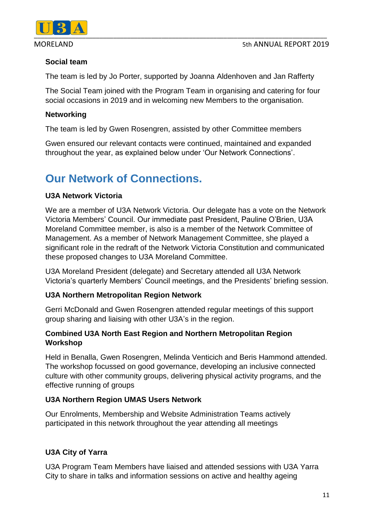

#### **Social team**

The team is led by Jo Porter, supported by Joanna Aldenhoven and Jan Rafferty

The Social Team joined with the Program Team in organising and catering for four social occasions in 2019 and in welcoming new Members to the organisation.

#### **Networking**

The team is led by Gwen Rosengren, assisted by other Committee members

Gwen ensured our relevant contacts were continued, maintained and expanded throughout the year, as explained below under 'Our Network Connections'.

### **Our Network of Connections.**

#### **U3A Network Victoria**

We are a member of U3A Network Victoria. Our delegate has a vote on the Network Victoria Members' Council. Our immediate past President, Pauline O'Brien, U3A Moreland Committee member, is also is a member of the Network Committee of Management. As a member of Network Management Committee, she played a significant role in the redraft of the Network Victoria Constitution and communicated these proposed changes to U3A Moreland Committee.

U3A Moreland President (delegate) and Secretary attended all U3A Network Victoria's quarterly Members' Council meetings, and the Presidents' briefing session.

#### **U3A Northern Metropolitan Region Network**

Gerri McDonald and Gwen Rosengren attended regular meetings of this support group sharing and liaising with other U3A's in the region.

#### **Combined U3A North East Region and Northern Metropolitan Region Workshop**

Held in Benalla, Gwen Rosengren, Melinda Venticich and Beris Hammond attended. The workshop focussed on good governance, developing an inclusive connected culture with other community groups, delivering physical activity programs, and the effective running of groups

#### **U3A Northern Region UMAS Users Network**

Our Enrolments, Membership and Website Administration Teams actively participated in this network throughout the year attending all meetings

#### **U3A City of Yarra**

U3A Program Team Members have liaised and attended sessions with U3A Yarra City to share in talks and information sessions on active and healthy ageing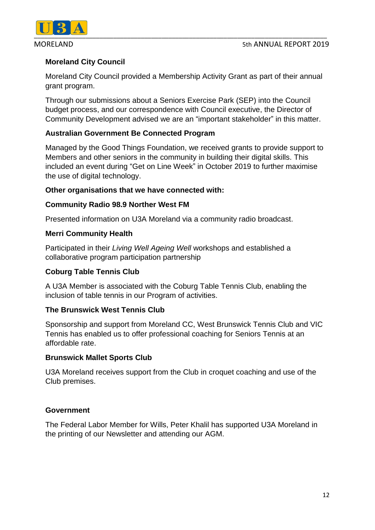

### **Moreland City Council**

Moreland City Council provided a Membership Activity Grant as part of their annual grant program.

Through our submissions about a Seniors Exercise Park (SEP) into the Council budget process, and our correspondence with Council executive, the Director of Community Development advised we are an "important stakeholder" in this matter.

#### **Australian Government Be Connected Program**

Managed by the Good Things Foundation, we received grants to provide support to Members and other seniors in the community in building their digital skills. This included an event during "Get on Line Week" in October 2019 to further maximise the use of digital technology.

#### **Other organisations that we have connected with:**

#### **Community Radio 98.9 Norther West FM**

Presented information on U3A Moreland via a community radio broadcast.

#### **Merri Community Health**

Participated in their *Living Well Ageing Well* workshops and established a collaborative program participation partnership

#### **Coburg Table Tennis Club**

A U3A Member is associated with the Coburg Table Tennis Club, enabling the inclusion of table tennis in our Program of activities.

#### **The Brunswick West Tennis Club**

Sponsorship and support from Moreland CC, West Brunswick Tennis Club and VIC Tennis has enabled us to offer professional coaching for Seniors Tennis at an affordable rate.

#### **Brunswick Mallet Sports Club**

U3A Moreland receives support from the Club in croquet coaching and use of the Club premises.

#### **Government**

The Federal Labor Member for Wills, Peter Khalil has supported U3A Moreland in the printing of our Newsletter and attending our AGM.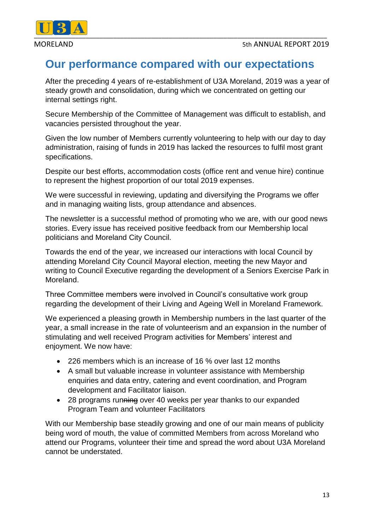

### **Our performance compared with our expectations**

After the preceding 4 years of re-establishment of U3A Moreland, 2019 was a year of steady growth and consolidation, during which we concentrated on getting our internal settings right.

Secure Membership of the Committee of Management was difficult to establish, and vacancies persisted throughout the year.

Given the low number of Members currently volunteering to help with our day to day administration, raising of funds in 2019 has lacked the resources to fulfil most grant specifications.

Despite our best efforts, accommodation costs (office rent and venue hire) continue to represent the highest proportion of our total 2019 expenses.

We were successful in reviewing, updating and diversifying the Programs we offer and in managing waiting lists, group attendance and absences.

The newsletter is a successful method of promoting who we are, with our good news stories. Every issue has received positive feedback from our Membership local politicians and Moreland City Council.

Towards the end of the year, we increased our interactions with local Council by attending Moreland City Council Mayoral election, meeting the new Mayor and writing to Council Executive regarding the development of a Seniors Exercise Park in Moreland.

Three Committee members were involved in Council's consultative work group regarding the development of their Living and Ageing Well in Moreland Framework.

We experienced a pleasing growth in Membership numbers in the last quarter of the year, a small increase in the rate of volunteerism and an expansion in the number of stimulating and well received Program activities for Members' interest and enjoyment. We now have:

- 226 members which is an increase of 16 % over last 12 months
- A small but valuable increase in volunteer assistance with Membership enquiries and data entry, catering and event coordination, and Program development and Facilitator liaison.
- 28 programs running over 40 weeks per year thanks to our expanded Program Team and volunteer Facilitators

With our Membership base steadily growing and one of our main means of publicity being word of mouth, the value of committed Members from across Moreland who attend our Programs, volunteer their time and spread the word about U3A Moreland cannot be understated.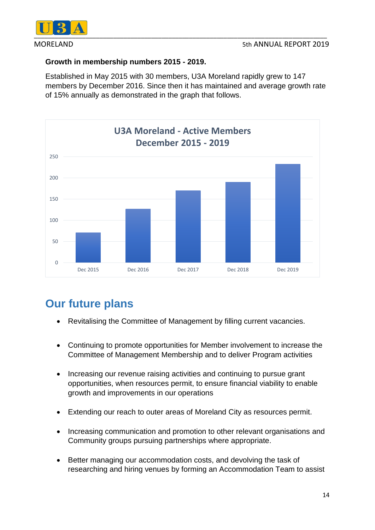

#### **Growth in membership numbers 2015 - 2019.**

Established in May 2015 with 30 members, U3A Moreland rapidly grew to 147 members by December 2016. Since then it has maintained and average growth rate of 15% annually as demonstrated in the graph that follows.



## **Our future plans**

- Revitalising the Committee of Management by filling current vacancies.
- Continuing to promote opportunities for Member involvement to increase the Committee of Management Membership and to deliver Program activities
- Increasing our revenue raising activities and continuing to pursue grant opportunities, when resources permit, to ensure financial viability to enable growth and improvements in our operations
- Extending our reach to outer areas of Moreland City as resources permit.
- Increasing communication and promotion to other relevant organisations and Community groups pursuing partnerships where appropriate.
- Better managing our accommodation costs, and devolving the task of researching and hiring venues by forming an Accommodation Team to assist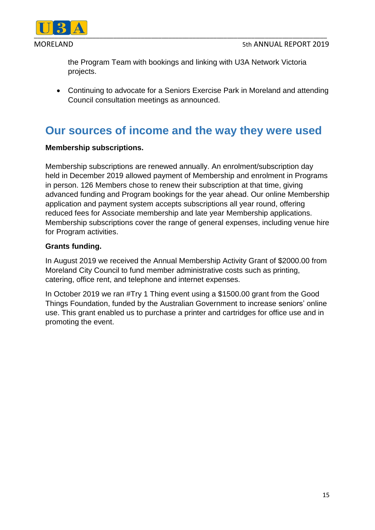



the Program Team with bookings and linking with U3A Network Victoria projects.

 Continuing to advocate for a Seniors Exercise Park in Moreland and attending Council consultation meetings as announced.

### **Our sources of income and the way they were used**

#### **Membership subscriptions.**

Membership subscriptions are renewed annually. An enrolment/subscription day held in December 2019 allowed payment of Membership and enrolment in Programs in person. 126 Members chose to renew their subscription at that time, giving advanced funding and Program bookings for the year ahead. Our online Membership application and payment system accepts subscriptions all year round, offering reduced fees for Associate membership and late year Membership applications. Membership subscriptions cover the range of general expenses, including venue hire for Program activities.

#### **Grants funding.**

In August 2019 we received the Annual Membership Activity Grant of \$2000.00 from Moreland City Council to fund member administrative costs such as printing, catering, office rent, and telephone and internet expenses.

In October 2019 we ran #Try 1 Thing event using a \$1500.00 grant from the Good Things Foundation, funded by the Australian Government to increase seniors' online use. This grant enabled us to purchase a printer and cartridges for office use and in promoting the event.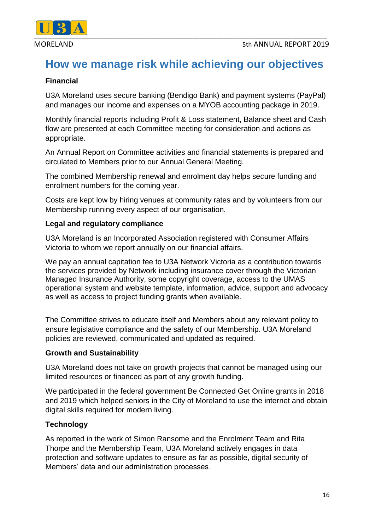

### **How we manage risk while achieving our objectives**

#### **Financial**

U3A Moreland uses secure banking (Bendigo Bank) and payment systems (PayPal) and manages our income and expenses on a MYOB accounting package in 2019.

Monthly financial reports including Profit & Loss statement, Balance sheet and Cash flow are presented at each Committee meeting for consideration and actions as appropriate.

An Annual Report on Committee activities and financial statements is prepared and circulated to Members prior to our Annual General Meeting.

The combined Membership renewal and enrolment day helps secure funding and enrolment numbers for the coming year.

Costs are kept low by hiring venues at community rates and by volunteers from our Membership running every aspect of our organisation.

#### **Legal and regulatory compliance**

U3A Moreland is an Incorporated Association registered with Consumer Affairs Victoria to whom we report annually on our financial affairs.

We pay an annual capitation fee to U3A Network Victoria as a contribution towards the services provided by Network including insurance cover through the Victorian Managed Insurance Authority, some copyright coverage, access to the UMAS operational system and website template, information, advice, support and advocacy as well as access to project funding grants when available.

The Committee strives to educate itself and Members about any relevant policy to ensure legislative compliance and the safety of our Membership. U3A Moreland policies are reviewed, communicated and updated as required.

#### **Growth and Sustainability**

U3A Moreland does not take on growth projects that cannot be managed using our limited resources or financed as part of any growth funding.

We participated in the federal government Be Connected Get Online grants in 2018 and 2019 which helped seniors in the City of Moreland to use the internet and obtain digital skills required for modern living.

#### **Technology**

As reported in the work of Simon Ransome and the Enrolment Team and Rita Thorpe and the Membership Team, U3A Moreland actively engages in data protection and software updates to ensure as far as possible, digital security of Members' data and our administration processes.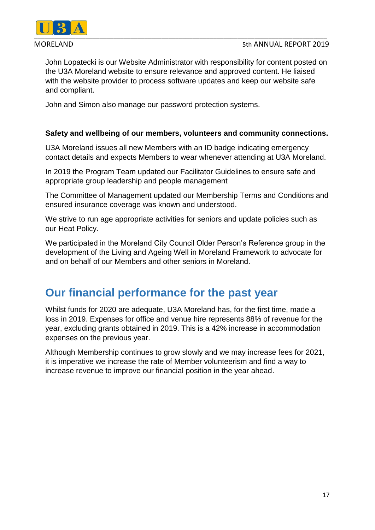

MORELAND 5th ANNUAL REPORT 2019

John Lopatecki is our Website Administrator with responsibility for content posted on the U3A Moreland website to ensure relevance and approved content. He liaised with the website provider to process software updates and keep our website safe and compliant.

John and Simon also manage our password protection systems.

#### **Safety and wellbeing of our members, volunteers and community connections.**

U3A Moreland issues all new Members with an ID badge indicating emergency contact details and expects Members to wear whenever attending at U3A Moreland.

In 2019 the Program Team updated our Facilitator Guidelines to ensure safe and appropriate group leadership and people management

The Committee of Management updated our Membership Terms and Conditions and ensured insurance coverage was known and understood.

We strive to run age appropriate activities for seniors and update policies such as our Heat Policy.

We participated in the Moreland City Council Older Person's Reference group in the development of the Living and Ageing Well in Moreland Framework to advocate for and on behalf of our Members and other seniors in Moreland.

### **Our financial performance for the past year**

Whilst funds for 2020 are adequate, U3A Moreland has, for the first time, made a loss in 2019. Expenses for office and venue hire represents 88% of revenue for the year, excluding grants obtained in 2019. This is a 42% increase in accommodation expenses on the previous year.

Although Membership continues to grow slowly and we may increase fees for 2021, it is imperative we increase the rate of Member volunteerism and find a way to increase revenue to improve our financial position in the year ahead.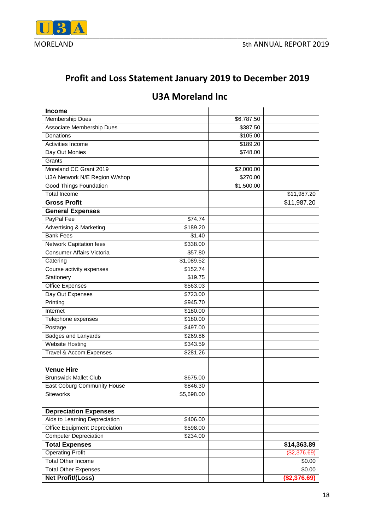

### **Profit and Loss Statement January 2019 to December 2019**

### **U3A Moreland Inc**

| <b>Income</b>                        |            |                        |              |
|--------------------------------------|------------|------------------------|--------------|
| Membership Dues                      |            | $\overline{$6,787.50}$ |              |
| <b>Associate Membership Dues</b>     |            | \$387.50               |              |
| Donations                            |            | \$105.00               |              |
| Activities Income                    |            | \$189.20               |              |
| Day Out Monies                       |            | \$748.00               |              |
| Grants                               |            |                        |              |
| Moreland CC Grant 2019               |            | \$2,000.00             |              |
| U3A Network N/E Region W/shop        |            | \$270.00               |              |
| Good Things Foundation               |            | \$1,500.00             |              |
| <b>Total Income</b>                  |            |                        | \$11,987.20  |
| <b>Gross Profit</b>                  |            |                        | \$11,987.20  |
| <b>General Expenses</b>              |            |                        |              |
| PayPal Fee                           | \$74.74    |                        |              |
| <b>Advertising &amp; Marketing</b>   | \$189.20   |                        |              |
| <b>Bank Fees</b>                     | \$1.40     |                        |              |
| Network Capitation fees              | \$338.00   |                        |              |
| <b>Consumer Affairs Victoria</b>     | \$57.80    |                        |              |
| Catering                             | \$1,089.52 |                        |              |
| Course activity expenses             | \$152.74   |                        |              |
| Stationery                           | \$19.75    |                        |              |
| <b>Office Expenses</b>               | \$563.03   |                        |              |
| Day Out Expenses                     | \$723.00   |                        |              |
| Printing                             | \$945.70   |                        |              |
| Internet                             | \$180.00   |                        |              |
| Telephone expenses                   | \$180.00   |                        |              |
| Postage                              | \$497.00   |                        |              |
| <b>Badges and Lanyards</b>           | \$269.86   |                        |              |
| <b>Website Hosting</b>               | \$343.59   |                        |              |
| Travel & Accom. Expenses             | \$281.26   |                        |              |
|                                      |            |                        |              |
| <b>Venue Hire</b>                    |            |                        |              |
| <b>Brunswick Mallet Club</b>         | \$675.00   |                        |              |
| <b>East Coburg Community House</b>   | \$846.30   |                        |              |
| <b>Siteworks</b>                     | \$5,698.00 |                        |              |
|                                      |            |                        |              |
| <b>Depreciation Expenses</b>         |            |                        |              |
| Aids to Learning Depreciation        | \$406.00   |                        |              |
| <b>Office Equipment Depreciation</b> | \$598.00   |                        |              |
| <b>Computer Depreciation</b>         | \$234.00   |                        |              |
| <b>Total Expenses</b>                |            |                        | \$14,363.89  |
| <b>Operating Profit</b>              |            |                        | (\$2,376.69) |
| <b>Total Other Income</b>            |            |                        | \$0.00       |
| <b>Total Other Expenses</b>          |            |                        | \$0.00       |
| <b>Net Profit/(Loss)</b>             |            |                        | (\$2,376.69) |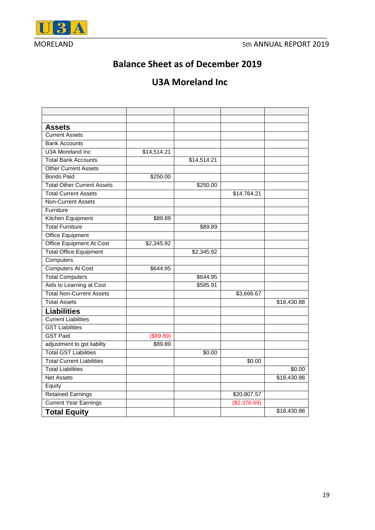

### **Balance Sheet as of December 2019**

### **U3A Moreland Inc**

| <b>Assets</b>                     |             |                     |              |             |
|-----------------------------------|-------------|---------------------|--------------|-------------|
| <b>Current Assets</b>             |             |                     |              |             |
| <b>Bank Accounts</b>              |             |                     |              |             |
| U3A Moreland Inc.                 | \$14,514.21 |                     |              |             |
| <b>Total Bank Accounts</b>        |             | $\sqrt{314,514.21}$ |              |             |
| <b>Other Current Assets</b>       |             |                     |              |             |
| <b>Bonds Paid</b>                 | \$250.00    |                     |              |             |
| <b>Total Other Current Assets</b> |             | \$250.00            |              |             |
| <b>Total Current Assets</b>       |             |                     | \$14,764.21  |             |
| <b>Non-Current Assets</b>         |             |                     |              |             |
| Furniture                         |             |                     |              |             |
| Kitchen Equipment                 | \$89.89     |                     |              |             |
| <b>Total Furniture</b>            |             | \$89.89             |              |             |
| <b>Office Equipment</b>           |             |                     |              |             |
| Office Equipment At Cost          | \$2,345.92  |                     |              |             |
| <b>Total Office Equipment</b>     |             | \$2,345.92          |              |             |
| Computers                         |             |                     |              |             |
| <b>Computers At Cost</b>          | \$644.95    |                     |              |             |
| <b>Total Computers</b>            |             | \$644.95            |              |             |
| Aids to Learning at Cost          |             | \$585.91            |              |             |
| <b>Total Non-Current Assets</b>   |             |                     | \$3,666.67   |             |
| <b>Total Assets</b>               |             |                     |              | \$18,430.88 |
| <b>Liabilities</b>                |             |                     |              |             |
| <b>Current Liabilities</b>        |             |                     |              |             |
| <b>GST Liabilities</b>            |             |                     |              |             |
| <b>GST Paid</b>                   | (\$89.89)   |                     |              |             |
| adjustment to gst liabilty        | \$89.89     |                     |              |             |
| <b>Total GST Liabilities</b>      |             | \$0.00              |              |             |
| <b>Total Current Liabilities</b>  |             |                     | \$0.00       |             |
| <b>Total Liabilities</b>          |             |                     |              | \$0.00      |
| <b>Net Assets</b>                 |             |                     |              | \$18,430.88 |
| Equity                            |             |                     |              |             |
| <b>Retained Earnings</b>          |             |                     | \$20,807.57  |             |
| <b>Current Year Earnings</b>      |             |                     | (\$2,376.69) |             |
| <b>Total Equity</b>               |             |                     |              | \$18,430.88 |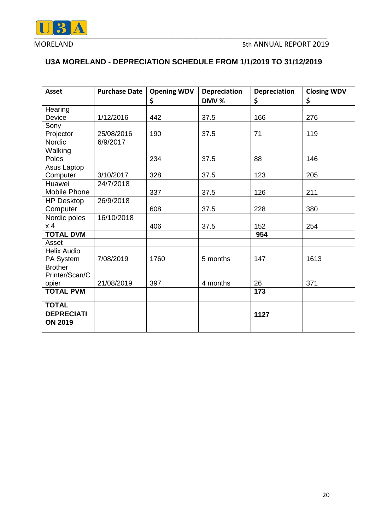

### **U3A MORELAND - DEPRECIATION SCHEDULE FROM 1/1/2019 TO 31/12/2019**

| <b>Asset</b>       | <b>Purchase Date</b> | <b>Opening WDV</b><br>\$ | <b>Depreciation</b><br>DMV % | <b>Depreciation</b><br>\$ | <b>Closing WDV</b><br>\$ |
|--------------------|----------------------|--------------------------|------------------------------|---------------------------|--------------------------|
| Hearing            |                      |                          |                              |                           |                          |
| Device             | 1/12/2016            | 442                      | 37.5                         | 166                       | 276                      |
| Sony               |                      |                          |                              |                           |                          |
| Projector          | 25/08/2016           | 190                      | 37.5                         | 71                        | 119                      |
| Nordic             | 6/9/2017             |                          |                              |                           |                          |
| Walking            |                      |                          |                              |                           |                          |
| Poles              |                      | 234                      | 37.5                         | 88                        | 146                      |
| Asus Laptop        |                      |                          |                              |                           |                          |
| Computer           | 3/10/2017            | 328                      | 37.5                         | 123                       | 205                      |
| Huawei             | 24/7/2018            |                          |                              |                           |                          |
| Mobile Phone       |                      | 337                      | 37.5                         | 126                       | 211                      |
| <b>HP Desktop</b>  | 26/9/2018            |                          |                              |                           |                          |
| Computer           |                      | 608                      | 37.5                         | 228                       | 380                      |
| Nordic poles       | 16/10/2018           |                          |                              |                           |                          |
| x 4                |                      | 406                      | 37.5                         | 152                       | 254                      |
| <b>TOTAL DVM</b>   |                      |                          |                              | 954                       |                          |
| Asset              |                      |                          |                              |                           |                          |
| <b>Helix Audio</b> |                      |                          |                              |                           |                          |
| PA System          | 7/08/2019            | 1760                     | 5 months                     | 147                       | 1613                     |
| <b>Brother</b>     |                      |                          |                              |                           |                          |
| Printer/Scan/C     |                      |                          |                              |                           |                          |
| opier              | 21/08/2019           | 397                      | 4 months                     | 26                        | 371                      |
| <b>TOTAL PVM</b>   |                      |                          |                              | 173                       |                          |
| <b>TOTAL</b>       |                      |                          |                              |                           |                          |
| <b>DEPRECIATI</b>  |                      |                          |                              | 1127                      |                          |
| <b>ON 2019</b>     |                      |                          |                              |                           |                          |
|                    |                      |                          |                              |                           |                          |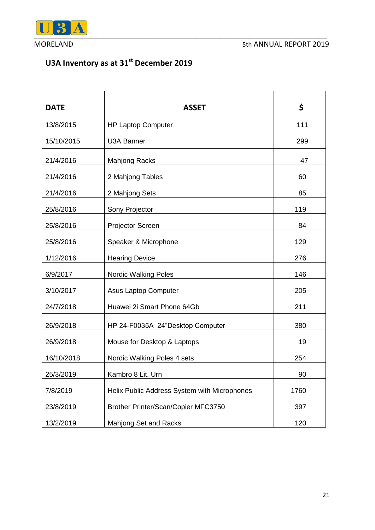

### **U3A Inventory as at 31st December 2019**

| <b>DATE</b> | <b>ASSET</b>                                 | \$   |
|-------------|----------------------------------------------|------|
| 13/8/2015   | <b>HP Laptop Computer</b>                    | 111  |
| 15/10/2015  | <b>U3A Banner</b>                            | 299  |
| 21/4/2016   | <b>Mahjong Racks</b>                         | 47   |
| 21/4/2016   | 2 Mahjong Tables                             | 60   |
| 21/4/2016   | 2 Mahjong Sets                               | 85   |
| 25/8/2016   | Sony Projector                               | 119  |
| 25/8/2016   | Projector Screen                             | 84   |
| 25/8/2016   | Speaker & Microphone                         | 129  |
| 1/12/2016   | <b>Hearing Device</b>                        | 276  |
| 6/9/2017    | <b>Nordic Walking Poles</b>                  | 146  |
| 3/10/2017   | Asus Laptop Computer                         | 205  |
| 24/7/2018   | Huawei 2i Smart Phone 64Gb                   | 211  |
| 26/9/2018   | HP 24-F0035A 24"Desktop Computer             | 380  |
| 26/9/2018   | Mouse for Desktop & Laptops                  | 19   |
| 16/10/2018  | Nordic Walking Poles 4 sets                  | 254  |
| 25/3/2019   | Kambro 8 Lit. Urn                            | 90   |
| 7/8/2019    | Helix Public Address System with Microphones | 1760 |
| 23/8/2019   | Brother Printer/Scan/Copier MFC3750          | 397  |
| 13/2/2019   | Mahjong Set and Racks                        | 120  |